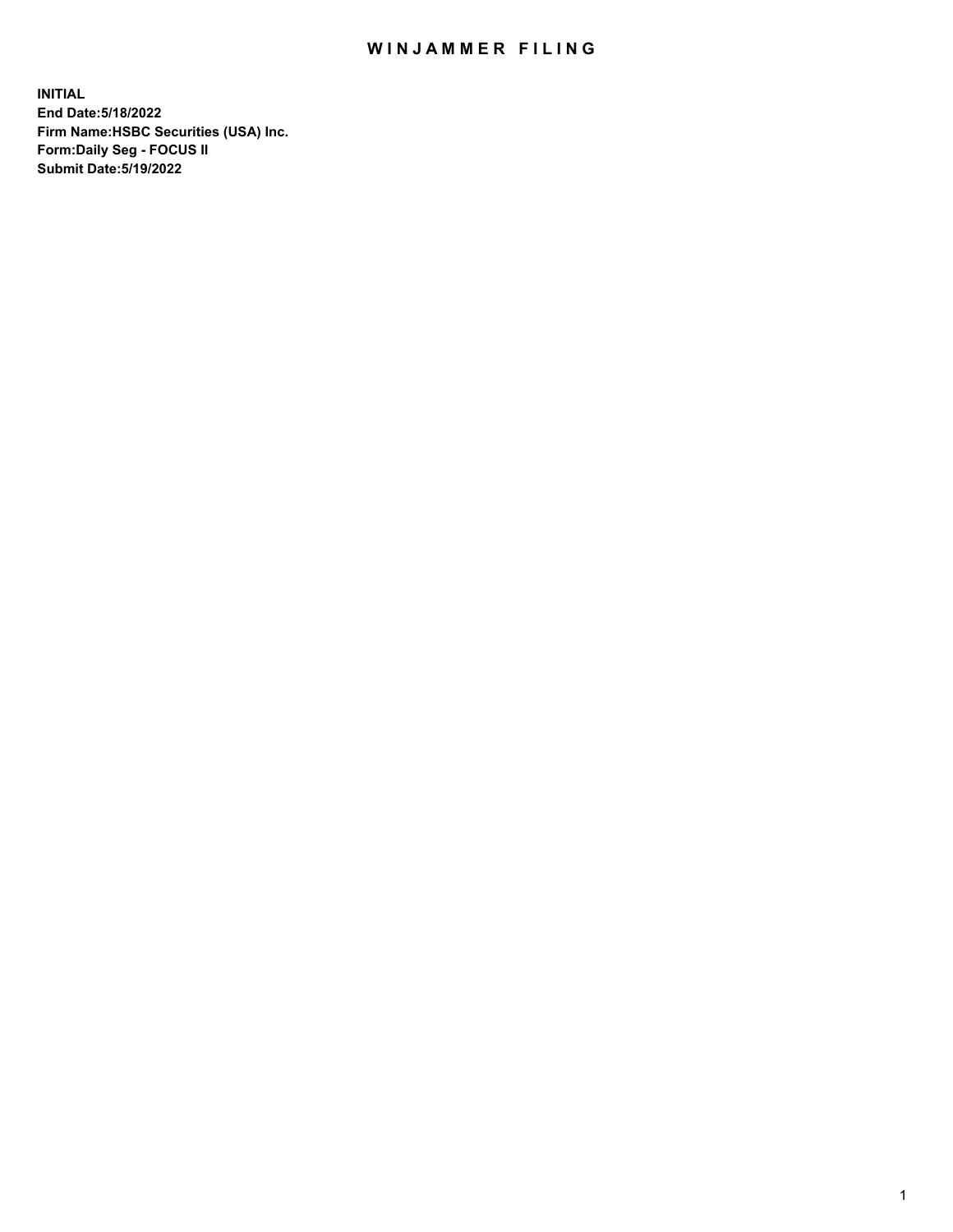## WIN JAMMER FILING

**INITIAL End Date:5/18/2022 Firm Name:HSBC Securities (USA) Inc. Form:Daily Seg - FOCUS II Submit Date:5/19/2022**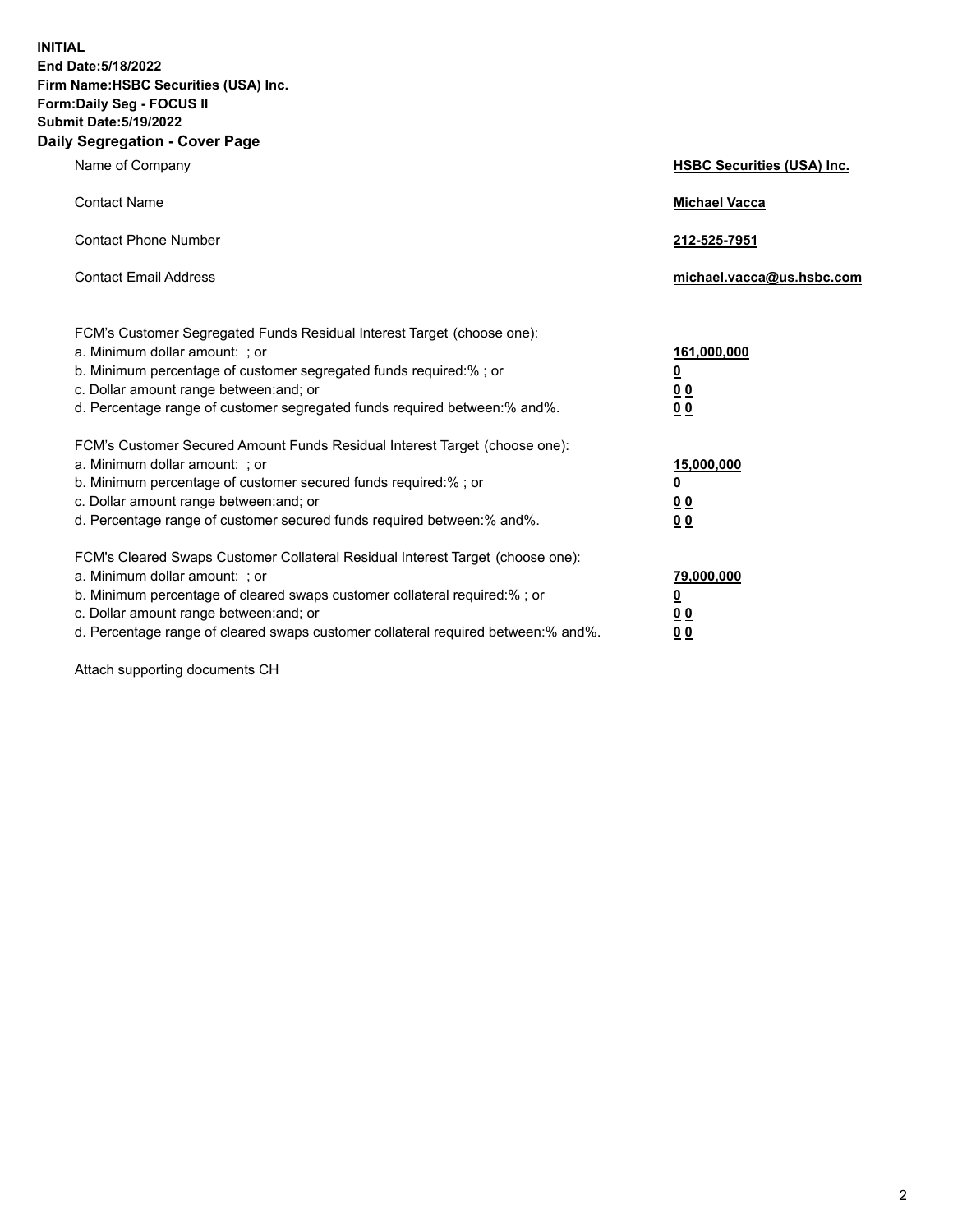**INITIAL End Date:5/18/2022 Firm Name:HSBC Securities (USA) Inc. Form:Daily Seg - FOCUS II Submit Date:5/19/2022 Daily Segregation - Cover Page**

| Name of Company                                                                                                                                                                                                                                                                                                               | <b>HSBC Securities (USA) Inc.</b>                                           |
|-------------------------------------------------------------------------------------------------------------------------------------------------------------------------------------------------------------------------------------------------------------------------------------------------------------------------------|-----------------------------------------------------------------------------|
| <b>Contact Name</b>                                                                                                                                                                                                                                                                                                           | <b>Michael Vacca</b>                                                        |
| <b>Contact Phone Number</b>                                                                                                                                                                                                                                                                                                   | 212-525-7951                                                                |
| <b>Contact Email Address</b>                                                                                                                                                                                                                                                                                                  | michael.vacca@us.hsbc.com                                                   |
| FCM's Customer Segregated Funds Residual Interest Target (choose one):<br>a. Minimum dollar amount: ; or<br>b. Minimum percentage of customer segregated funds required:% ; or<br>c. Dollar amount range between: and; or<br>d. Percentage range of customer segregated funds required between:% and%.                        | 161,000,000<br>$\underline{\mathbf{0}}$<br>0 <sub>0</sub><br>0 <sub>0</sub> |
| FCM's Customer Secured Amount Funds Residual Interest Target (choose one):<br>a. Minimum dollar amount: ; or<br>b. Minimum percentage of customer secured funds required:%; or<br>c. Dollar amount range between: and; or<br>d. Percentage range of customer secured funds required between: % and %.                         | 15,000,000<br><u>0</u><br>0 <sub>0</sub><br>0 <sub>0</sub>                  |
| FCM's Cleared Swaps Customer Collateral Residual Interest Target (choose one):<br>a. Minimum dollar amount: : or<br>b. Minimum percentage of cleared swaps customer collateral required:%; or<br>c. Dollar amount range between: and; or<br>d. Percentage range of cleared swaps customer collateral required between:% and%. | 79,000,000<br><u>0</u><br>00<br>00                                          |

Attach supporting documents CH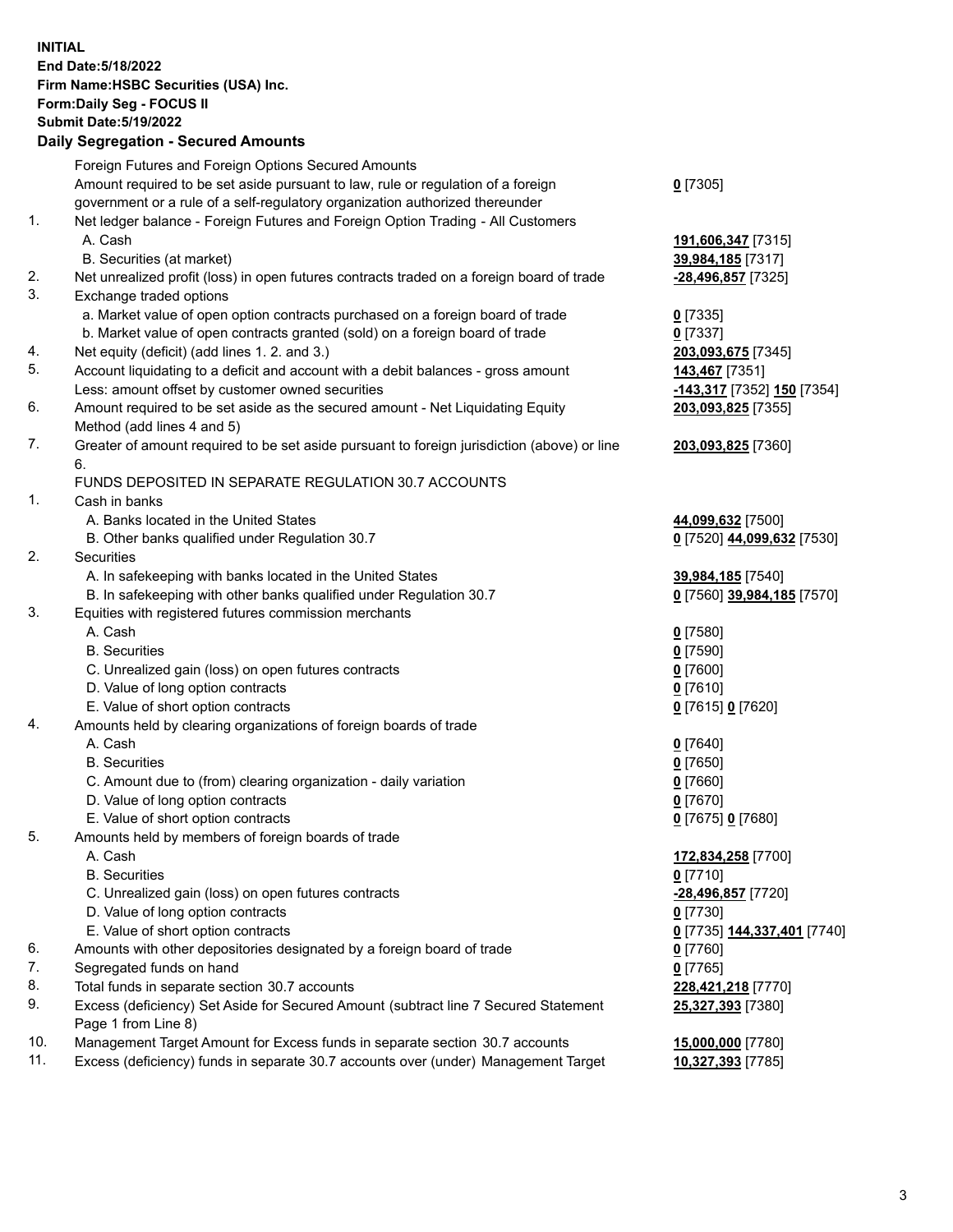**INITIAL End Date:5/18/2022 Firm Name:HSBC Securities (USA) Inc. Form:Daily Seg - FOCUS II Submit Date:5/19/2022 Daily Segregation - Secured Amounts** Foreign Futures and Foreign Options Secured Amounts Amount required to be set aside pursuant to law, rule or regulation of a foreign government or a rule of a self-regulatory organization authorized thereunder **0** [7305] 1. Net ledger balance - Foreign Futures and Foreign Option Trading - All Customers A. Cash **191,606,347** [7315] B. Securities (at market) **39,984,185** [7317] 2. Net unrealized profit (loss) in open futures contracts traded on a foreign board of trade **-28,496,857** [7325] 3. Exchange traded options a. Market value of open option contracts purchased on a foreign board of trade **0** [7335] b. Market value of open contracts granted (sold) on a foreign board of trade **0** [7337] 4. Net equity (deficit) (add lines 1. 2. and 3.) **203,093,675** [7345] 5. Account liquidating to a deficit and account with a debit balances - gross amount **143,467** [7351] Less: amount offset by customer owned securities **-143,317** [7352] **150** [7354] 6. Amount required to be set aside as the secured amount - Net Liquidating Equity Method (add lines 4 and 5) **203,093,825** [7355] 7. Greater of amount required to be set aside pursuant to foreign jurisdiction (above) or line 6. **203,093,825** [7360] FUNDS DEPOSITED IN SEPARATE REGULATION 30.7 ACCOUNTS 1. Cash in banks A. Banks located in the United States **44,099,632** [7500] B. Other banks qualified under Regulation 30.7 **0** [7520] **44,099,632** [7530] 2. Securities A. In safekeeping with banks located in the United States **39,984,185** [7540] B. In safekeeping with other banks qualified under Regulation 30.7 **0** [7560] **39,984,185** [7570] 3. Equities with registered futures commission merchants A. Cash **0** [7580] B. Securities **0** [7590] C. Unrealized gain (loss) on open futures contracts **0** [7600] D. Value of long option contracts **0** [7610] E. Value of short option contracts **0** [7615] **0** [7620] 4. Amounts held by clearing organizations of foreign boards of trade A. Cash **0** [7640] B. Securities **0** [7650] C. Amount due to (from) clearing organization - daily variation **0** [7660] D. Value of long option contracts **0** [7670] E. Value of short option contracts **0** [7675] **0** [7680] 5. Amounts held by members of foreign boards of trade A. Cash **172,834,258** [7700] B. Securities **0** [7710] C. Unrealized gain (loss) on open futures contracts **-28,496,857** [7720]

- D. Value of long option contracts **0** [7730]
- E. Value of short option contracts **0** [7735] **144,337,401** [7740]
- 6. Amounts with other depositories designated by a foreign board of trade **0** [7760]
- 7. Segregated funds on hand **0** [7765]
- 8. Total funds in separate section 30.7 accounts **228,421,218** [7770]
- 9. Excess (deficiency) Set Aside for Secured Amount (subtract line 7 Secured Statement Page 1 from Line 8)
- 10. Management Target Amount for Excess funds in separate section 30.7 accounts **15,000,000** [7780]
- 11. Excess (deficiency) funds in separate 30.7 accounts over (under) Management Target **10,327,393** [7785]

**25,327,393** [7380]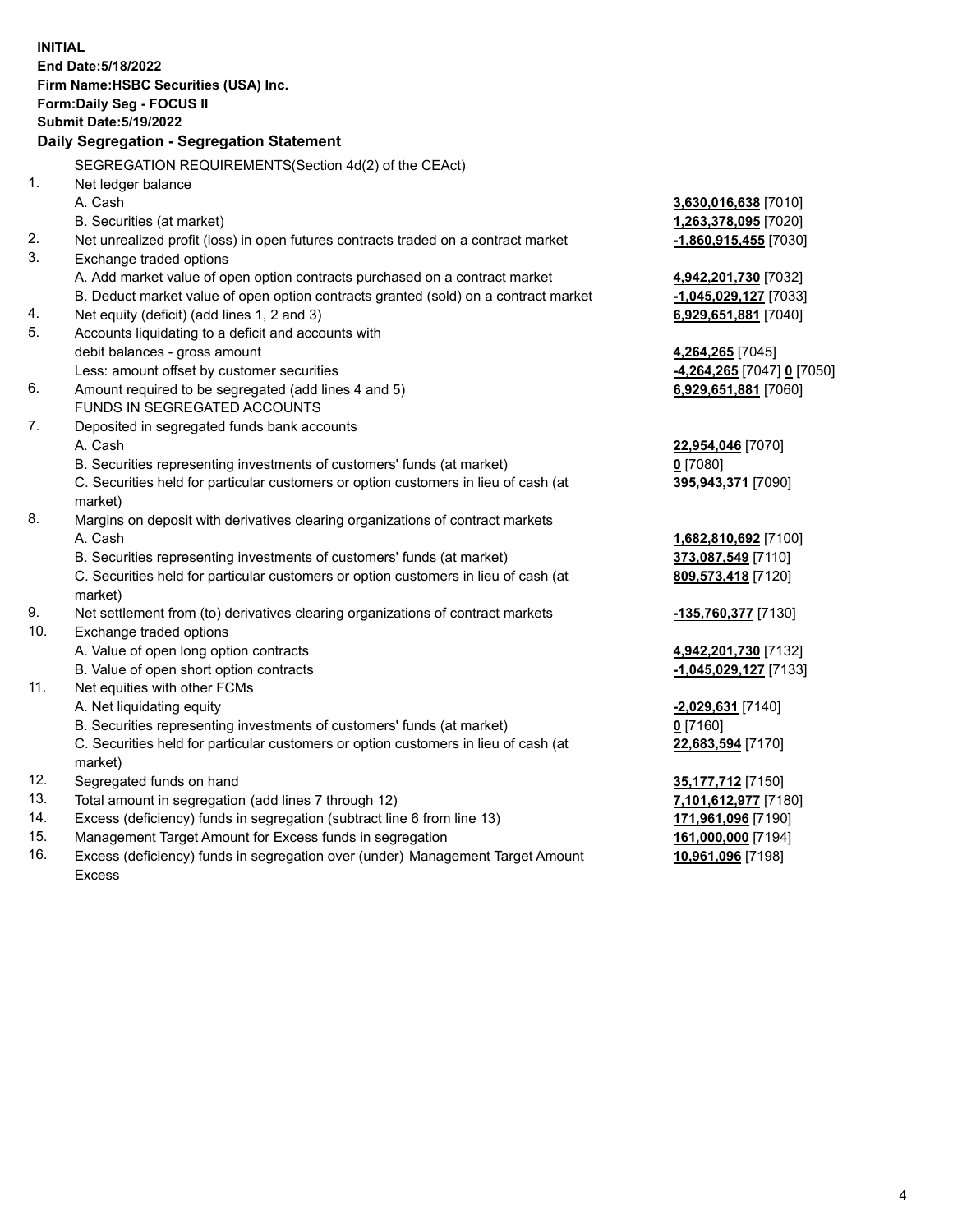| <b>Submit Date: 5/19/2022</b><br>Daily Segregation - Segregation Statement<br>SEGREGATION REQUIREMENTS(Section 4d(2) of the CEAct)<br>Net ledger balance<br>A. Cash<br>3,630,016,638 [7010]<br>B. Securities (at market)<br>1,263,378,095 [7020]<br>Net unrealized profit (loss) in open futures contracts traded on a contract market<br>$-1,860,915,455$ [7030]<br>3.<br>Exchange traded options<br>A. Add market value of open option contracts purchased on a contract market<br>4,942,201,730 [7032]<br>B. Deduct market value of open option contracts granted (sold) on a contract market<br>-1,045,029,127 [7033]<br>Net equity (deficit) (add lines 1, 2 and 3)<br>6,929,651,881 [7040]<br>5.<br>Accounts liquidating to a deficit and accounts with<br>debit balances - gross amount<br>4,264,265 [7045]<br>Less: amount offset by customer securities<br><u>-4,264,265</u> [7047] <u>0</u> [7050]<br>6.<br>Amount required to be segregated (add lines 4 and 5)<br>6,929,651,881 [7060]<br>FUNDS IN SEGREGATED ACCOUNTS<br>7.<br>Deposited in segregated funds bank accounts<br>A. Cash<br>22,954,046 [7070]<br>B. Securities representing investments of customers' funds (at market)<br>$0$ [7080]<br>C. Securities held for particular customers or option customers in lieu of cash (at<br>395,943,371 [7090]<br>market)<br>8.<br>Margins on deposit with derivatives clearing organizations of contract markets<br>A. Cash<br>1,682,810,692 [7100]<br>B. Securities representing investments of customers' funds (at market)<br>373,087,549 [7110]<br>C. Securities held for particular customers or option customers in lieu of cash (at<br>809,573,418 [7120]<br>market)<br>Net settlement from (to) derivatives clearing organizations of contract markets<br>-135,760,377 [7130]<br>Exchange traded options<br>A. Value of open long option contracts<br>4,942,201,730 [7132]<br>B. Value of open short option contracts<br>$-1,045,029,127$ [7133]<br>Net equities with other FCMs<br>A. Net liquidating equity<br>-2,029,631 [7140]<br>B. Securities representing investments of customers' funds (at market)<br>$0$ [7160]<br>C. Securities held for particular customers or option customers in lieu of cash (at<br>22,683,594 [7170]<br>market)<br>12.<br>Segregated funds on hand<br>35,177,712 [7150]<br>13.<br>Total amount in segregation (add lines 7 through 12)<br>7,101,612,977 [7180]<br>14.<br>Excess (deficiency) funds in segregation (subtract line 6 from line 13)<br>171,961,096 [7190] | <b>INITIAL</b> | End Date: 5/18/2022<br>Firm Name: HSBC Securities (USA) Inc.<br>Form: Daily Seg - FOCUS II |  |
|---------------------------------------------------------------------------------------------------------------------------------------------------------------------------------------------------------------------------------------------------------------------------------------------------------------------------------------------------------------------------------------------------------------------------------------------------------------------------------------------------------------------------------------------------------------------------------------------------------------------------------------------------------------------------------------------------------------------------------------------------------------------------------------------------------------------------------------------------------------------------------------------------------------------------------------------------------------------------------------------------------------------------------------------------------------------------------------------------------------------------------------------------------------------------------------------------------------------------------------------------------------------------------------------------------------------------------------------------------------------------------------------------------------------------------------------------------------------------------------------------------------------------------------------------------------------------------------------------------------------------------------------------------------------------------------------------------------------------------------------------------------------------------------------------------------------------------------------------------------------------------------------------------------------------------------------------------------------------------------------------------------------------------------------------------------------------------------------------------------------------------------------------------------------------------------------------------------------------------------------------------------------------------------------------------------------------------------------------------------------------------------------------------------------------------------------------------------------------------------------------------------------------------|----------------|--------------------------------------------------------------------------------------------|--|
|                                                                                                                                                                                                                                                                                                                                                                                                                                                                                                                                                                                                                                                                                                                                                                                                                                                                                                                                                                                                                                                                                                                                                                                                                                                                                                                                                                                                                                                                                                                                                                                                                                                                                                                                                                                                                                                                                                                                                                                                                                                                                                                                                                                                                                                                                                                                                                                                                                                                                                                                 |                |                                                                                            |  |
|                                                                                                                                                                                                                                                                                                                                                                                                                                                                                                                                                                                                                                                                                                                                                                                                                                                                                                                                                                                                                                                                                                                                                                                                                                                                                                                                                                                                                                                                                                                                                                                                                                                                                                                                                                                                                                                                                                                                                                                                                                                                                                                                                                                                                                                                                                                                                                                                                                                                                                                                 |                |                                                                                            |  |
|                                                                                                                                                                                                                                                                                                                                                                                                                                                                                                                                                                                                                                                                                                                                                                                                                                                                                                                                                                                                                                                                                                                                                                                                                                                                                                                                                                                                                                                                                                                                                                                                                                                                                                                                                                                                                                                                                                                                                                                                                                                                                                                                                                                                                                                                                                                                                                                                                                                                                                                                 |                |                                                                                            |  |
|                                                                                                                                                                                                                                                                                                                                                                                                                                                                                                                                                                                                                                                                                                                                                                                                                                                                                                                                                                                                                                                                                                                                                                                                                                                                                                                                                                                                                                                                                                                                                                                                                                                                                                                                                                                                                                                                                                                                                                                                                                                                                                                                                                                                                                                                                                                                                                                                                                                                                                                                 | 1.             |                                                                                            |  |
|                                                                                                                                                                                                                                                                                                                                                                                                                                                                                                                                                                                                                                                                                                                                                                                                                                                                                                                                                                                                                                                                                                                                                                                                                                                                                                                                                                                                                                                                                                                                                                                                                                                                                                                                                                                                                                                                                                                                                                                                                                                                                                                                                                                                                                                                                                                                                                                                                                                                                                                                 |                |                                                                                            |  |
|                                                                                                                                                                                                                                                                                                                                                                                                                                                                                                                                                                                                                                                                                                                                                                                                                                                                                                                                                                                                                                                                                                                                                                                                                                                                                                                                                                                                                                                                                                                                                                                                                                                                                                                                                                                                                                                                                                                                                                                                                                                                                                                                                                                                                                                                                                                                                                                                                                                                                                                                 |                |                                                                                            |  |
|                                                                                                                                                                                                                                                                                                                                                                                                                                                                                                                                                                                                                                                                                                                                                                                                                                                                                                                                                                                                                                                                                                                                                                                                                                                                                                                                                                                                                                                                                                                                                                                                                                                                                                                                                                                                                                                                                                                                                                                                                                                                                                                                                                                                                                                                                                                                                                                                                                                                                                                                 | 2.             |                                                                                            |  |
|                                                                                                                                                                                                                                                                                                                                                                                                                                                                                                                                                                                                                                                                                                                                                                                                                                                                                                                                                                                                                                                                                                                                                                                                                                                                                                                                                                                                                                                                                                                                                                                                                                                                                                                                                                                                                                                                                                                                                                                                                                                                                                                                                                                                                                                                                                                                                                                                                                                                                                                                 |                |                                                                                            |  |
|                                                                                                                                                                                                                                                                                                                                                                                                                                                                                                                                                                                                                                                                                                                                                                                                                                                                                                                                                                                                                                                                                                                                                                                                                                                                                                                                                                                                                                                                                                                                                                                                                                                                                                                                                                                                                                                                                                                                                                                                                                                                                                                                                                                                                                                                                                                                                                                                                                                                                                                                 |                |                                                                                            |  |
|                                                                                                                                                                                                                                                                                                                                                                                                                                                                                                                                                                                                                                                                                                                                                                                                                                                                                                                                                                                                                                                                                                                                                                                                                                                                                                                                                                                                                                                                                                                                                                                                                                                                                                                                                                                                                                                                                                                                                                                                                                                                                                                                                                                                                                                                                                                                                                                                                                                                                                                                 |                |                                                                                            |  |
|                                                                                                                                                                                                                                                                                                                                                                                                                                                                                                                                                                                                                                                                                                                                                                                                                                                                                                                                                                                                                                                                                                                                                                                                                                                                                                                                                                                                                                                                                                                                                                                                                                                                                                                                                                                                                                                                                                                                                                                                                                                                                                                                                                                                                                                                                                                                                                                                                                                                                                                                 | 4.             |                                                                                            |  |
|                                                                                                                                                                                                                                                                                                                                                                                                                                                                                                                                                                                                                                                                                                                                                                                                                                                                                                                                                                                                                                                                                                                                                                                                                                                                                                                                                                                                                                                                                                                                                                                                                                                                                                                                                                                                                                                                                                                                                                                                                                                                                                                                                                                                                                                                                                                                                                                                                                                                                                                                 |                |                                                                                            |  |
|                                                                                                                                                                                                                                                                                                                                                                                                                                                                                                                                                                                                                                                                                                                                                                                                                                                                                                                                                                                                                                                                                                                                                                                                                                                                                                                                                                                                                                                                                                                                                                                                                                                                                                                                                                                                                                                                                                                                                                                                                                                                                                                                                                                                                                                                                                                                                                                                                                                                                                                                 |                |                                                                                            |  |
|                                                                                                                                                                                                                                                                                                                                                                                                                                                                                                                                                                                                                                                                                                                                                                                                                                                                                                                                                                                                                                                                                                                                                                                                                                                                                                                                                                                                                                                                                                                                                                                                                                                                                                                                                                                                                                                                                                                                                                                                                                                                                                                                                                                                                                                                                                                                                                                                                                                                                                                                 |                |                                                                                            |  |
|                                                                                                                                                                                                                                                                                                                                                                                                                                                                                                                                                                                                                                                                                                                                                                                                                                                                                                                                                                                                                                                                                                                                                                                                                                                                                                                                                                                                                                                                                                                                                                                                                                                                                                                                                                                                                                                                                                                                                                                                                                                                                                                                                                                                                                                                                                                                                                                                                                                                                                                                 |                |                                                                                            |  |
|                                                                                                                                                                                                                                                                                                                                                                                                                                                                                                                                                                                                                                                                                                                                                                                                                                                                                                                                                                                                                                                                                                                                                                                                                                                                                                                                                                                                                                                                                                                                                                                                                                                                                                                                                                                                                                                                                                                                                                                                                                                                                                                                                                                                                                                                                                                                                                                                                                                                                                                                 |                |                                                                                            |  |
|                                                                                                                                                                                                                                                                                                                                                                                                                                                                                                                                                                                                                                                                                                                                                                                                                                                                                                                                                                                                                                                                                                                                                                                                                                                                                                                                                                                                                                                                                                                                                                                                                                                                                                                                                                                                                                                                                                                                                                                                                                                                                                                                                                                                                                                                                                                                                                                                                                                                                                                                 |                |                                                                                            |  |
|                                                                                                                                                                                                                                                                                                                                                                                                                                                                                                                                                                                                                                                                                                                                                                                                                                                                                                                                                                                                                                                                                                                                                                                                                                                                                                                                                                                                                                                                                                                                                                                                                                                                                                                                                                                                                                                                                                                                                                                                                                                                                                                                                                                                                                                                                                                                                                                                                                                                                                                                 |                |                                                                                            |  |
|                                                                                                                                                                                                                                                                                                                                                                                                                                                                                                                                                                                                                                                                                                                                                                                                                                                                                                                                                                                                                                                                                                                                                                                                                                                                                                                                                                                                                                                                                                                                                                                                                                                                                                                                                                                                                                                                                                                                                                                                                                                                                                                                                                                                                                                                                                                                                                                                                                                                                                                                 |                |                                                                                            |  |
|                                                                                                                                                                                                                                                                                                                                                                                                                                                                                                                                                                                                                                                                                                                                                                                                                                                                                                                                                                                                                                                                                                                                                                                                                                                                                                                                                                                                                                                                                                                                                                                                                                                                                                                                                                                                                                                                                                                                                                                                                                                                                                                                                                                                                                                                                                                                                                                                                                                                                                                                 |                |                                                                                            |  |
|                                                                                                                                                                                                                                                                                                                                                                                                                                                                                                                                                                                                                                                                                                                                                                                                                                                                                                                                                                                                                                                                                                                                                                                                                                                                                                                                                                                                                                                                                                                                                                                                                                                                                                                                                                                                                                                                                                                                                                                                                                                                                                                                                                                                                                                                                                                                                                                                                                                                                                                                 |                |                                                                                            |  |
|                                                                                                                                                                                                                                                                                                                                                                                                                                                                                                                                                                                                                                                                                                                                                                                                                                                                                                                                                                                                                                                                                                                                                                                                                                                                                                                                                                                                                                                                                                                                                                                                                                                                                                                                                                                                                                                                                                                                                                                                                                                                                                                                                                                                                                                                                                                                                                                                                                                                                                                                 |                |                                                                                            |  |
|                                                                                                                                                                                                                                                                                                                                                                                                                                                                                                                                                                                                                                                                                                                                                                                                                                                                                                                                                                                                                                                                                                                                                                                                                                                                                                                                                                                                                                                                                                                                                                                                                                                                                                                                                                                                                                                                                                                                                                                                                                                                                                                                                                                                                                                                                                                                                                                                                                                                                                                                 |                |                                                                                            |  |
|                                                                                                                                                                                                                                                                                                                                                                                                                                                                                                                                                                                                                                                                                                                                                                                                                                                                                                                                                                                                                                                                                                                                                                                                                                                                                                                                                                                                                                                                                                                                                                                                                                                                                                                                                                                                                                                                                                                                                                                                                                                                                                                                                                                                                                                                                                                                                                                                                                                                                                                                 |                |                                                                                            |  |
|                                                                                                                                                                                                                                                                                                                                                                                                                                                                                                                                                                                                                                                                                                                                                                                                                                                                                                                                                                                                                                                                                                                                                                                                                                                                                                                                                                                                                                                                                                                                                                                                                                                                                                                                                                                                                                                                                                                                                                                                                                                                                                                                                                                                                                                                                                                                                                                                                                                                                                                                 |                |                                                                                            |  |
|                                                                                                                                                                                                                                                                                                                                                                                                                                                                                                                                                                                                                                                                                                                                                                                                                                                                                                                                                                                                                                                                                                                                                                                                                                                                                                                                                                                                                                                                                                                                                                                                                                                                                                                                                                                                                                                                                                                                                                                                                                                                                                                                                                                                                                                                                                                                                                                                                                                                                                                                 | 9.             |                                                                                            |  |
|                                                                                                                                                                                                                                                                                                                                                                                                                                                                                                                                                                                                                                                                                                                                                                                                                                                                                                                                                                                                                                                                                                                                                                                                                                                                                                                                                                                                                                                                                                                                                                                                                                                                                                                                                                                                                                                                                                                                                                                                                                                                                                                                                                                                                                                                                                                                                                                                                                                                                                                                 | 10.            |                                                                                            |  |
|                                                                                                                                                                                                                                                                                                                                                                                                                                                                                                                                                                                                                                                                                                                                                                                                                                                                                                                                                                                                                                                                                                                                                                                                                                                                                                                                                                                                                                                                                                                                                                                                                                                                                                                                                                                                                                                                                                                                                                                                                                                                                                                                                                                                                                                                                                                                                                                                                                                                                                                                 |                |                                                                                            |  |
|                                                                                                                                                                                                                                                                                                                                                                                                                                                                                                                                                                                                                                                                                                                                                                                                                                                                                                                                                                                                                                                                                                                                                                                                                                                                                                                                                                                                                                                                                                                                                                                                                                                                                                                                                                                                                                                                                                                                                                                                                                                                                                                                                                                                                                                                                                                                                                                                                                                                                                                                 |                |                                                                                            |  |
|                                                                                                                                                                                                                                                                                                                                                                                                                                                                                                                                                                                                                                                                                                                                                                                                                                                                                                                                                                                                                                                                                                                                                                                                                                                                                                                                                                                                                                                                                                                                                                                                                                                                                                                                                                                                                                                                                                                                                                                                                                                                                                                                                                                                                                                                                                                                                                                                                                                                                                                                 | 11.            |                                                                                            |  |
|                                                                                                                                                                                                                                                                                                                                                                                                                                                                                                                                                                                                                                                                                                                                                                                                                                                                                                                                                                                                                                                                                                                                                                                                                                                                                                                                                                                                                                                                                                                                                                                                                                                                                                                                                                                                                                                                                                                                                                                                                                                                                                                                                                                                                                                                                                                                                                                                                                                                                                                                 |                |                                                                                            |  |
|                                                                                                                                                                                                                                                                                                                                                                                                                                                                                                                                                                                                                                                                                                                                                                                                                                                                                                                                                                                                                                                                                                                                                                                                                                                                                                                                                                                                                                                                                                                                                                                                                                                                                                                                                                                                                                                                                                                                                                                                                                                                                                                                                                                                                                                                                                                                                                                                                                                                                                                                 |                |                                                                                            |  |
|                                                                                                                                                                                                                                                                                                                                                                                                                                                                                                                                                                                                                                                                                                                                                                                                                                                                                                                                                                                                                                                                                                                                                                                                                                                                                                                                                                                                                                                                                                                                                                                                                                                                                                                                                                                                                                                                                                                                                                                                                                                                                                                                                                                                                                                                                                                                                                                                                                                                                                                                 |                |                                                                                            |  |
|                                                                                                                                                                                                                                                                                                                                                                                                                                                                                                                                                                                                                                                                                                                                                                                                                                                                                                                                                                                                                                                                                                                                                                                                                                                                                                                                                                                                                                                                                                                                                                                                                                                                                                                                                                                                                                                                                                                                                                                                                                                                                                                                                                                                                                                                                                                                                                                                                                                                                                                                 |                |                                                                                            |  |
|                                                                                                                                                                                                                                                                                                                                                                                                                                                                                                                                                                                                                                                                                                                                                                                                                                                                                                                                                                                                                                                                                                                                                                                                                                                                                                                                                                                                                                                                                                                                                                                                                                                                                                                                                                                                                                                                                                                                                                                                                                                                                                                                                                                                                                                                                                                                                                                                                                                                                                                                 |                |                                                                                            |  |
|                                                                                                                                                                                                                                                                                                                                                                                                                                                                                                                                                                                                                                                                                                                                                                                                                                                                                                                                                                                                                                                                                                                                                                                                                                                                                                                                                                                                                                                                                                                                                                                                                                                                                                                                                                                                                                                                                                                                                                                                                                                                                                                                                                                                                                                                                                                                                                                                                                                                                                                                 |                |                                                                                            |  |
| Management Target Amount for Excess funds in segregation<br>161,000,000 [7194]                                                                                                                                                                                                                                                                                                                                                                                                                                                                                                                                                                                                                                                                                                                                                                                                                                                                                                                                                                                                                                                                                                                                                                                                                                                                                                                                                                                                                                                                                                                                                                                                                                                                                                                                                                                                                                                                                                                                                                                                                                                                                                                                                                                                                                                                                                                                                                                                                                                  | 15.            |                                                                                            |  |
| Excess (deficiency) funds in segregation over (under) Management Target Amount<br>10,961,096 [7198]                                                                                                                                                                                                                                                                                                                                                                                                                                                                                                                                                                                                                                                                                                                                                                                                                                                                                                                                                                                                                                                                                                                                                                                                                                                                                                                                                                                                                                                                                                                                                                                                                                                                                                                                                                                                                                                                                                                                                                                                                                                                                                                                                                                                                                                                                                                                                                                                                             | 16.            |                                                                                            |  |

16. Excess (deficiency) funds in segregation over (under) Management Target Amount Excess